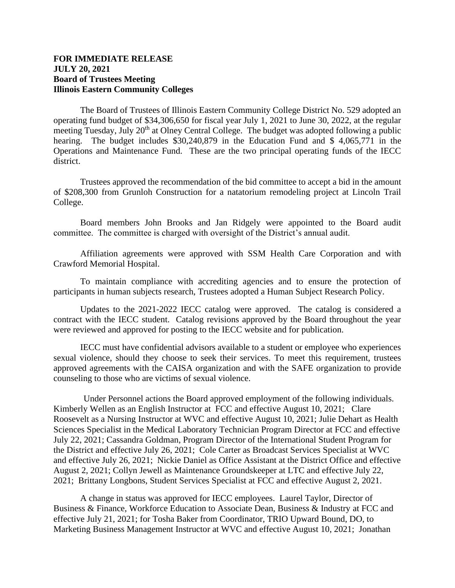## **FOR IMMEDIATE RELEASE JULY 20, 2021 Board of Trustees Meeting Illinois Eastern Community Colleges**

The Board of Trustees of Illinois Eastern Community College District No. 529 adopted an operating fund budget of \$34,306,650 for fiscal year July 1, 2021 to June 30, 2022, at the regular meeting Tuesday, July 20<sup>th</sup> at Olney Central College. The budget was adopted following a public hearing. The budget includes \$30,240,879 in the Education Fund and \$ 4,065,771 in the Operations and Maintenance Fund. These are the two principal operating funds of the IECC district.

Trustees approved the recommendation of the bid committee to accept a bid in the amount of \$208,300 from Grunloh Construction for a natatorium remodeling project at Lincoln Trail College.

Board members John Brooks and Jan Ridgely were appointed to the Board audit committee. The committee is charged with oversight of the District's annual audit.

Affiliation agreements were approved with SSM Health Care Corporation and with Crawford Memorial Hospital.

To maintain compliance with accrediting agencies and to ensure the protection of participants in human subjects research, Trustees adopted a Human Subject Research Policy.

Updates to the 2021-2022 IECC catalog were approved. The catalog is considered a contract with the IECC student. Catalog revisions approved by the Board throughout the year were reviewed and approved for posting to the IECC website and for publication.

IECC must have confidential advisors available to a student or employee who experiences sexual violence, should they choose to seek their services. To meet this requirement, trustees approved agreements with the CAISA organization and with the SAFE organization to provide counseling to those who are victims of sexual violence.

Under Personnel actions the Board approved employment of the following individuals. Kimberly Wellen as an English Instructor at FCC and effective August 10, 2021; Clare Roosevelt as a Nursing Instructor at WVC and effective August 10, 2021; Julie Dehart as Health Sciences Specialist in the Medical Laboratory Technician Program Director at FCC and effective July 22, 2021; Cassandra Goldman, Program Director of the International Student Program for the District and effective July 26, 2021; Cole Carter as Broadcast Services Specialist at WVC and effective July 26, 2021; Nickie Daniel as Office Assistant at the District Office and effective August 2, 2021; Collyn Jewell as Maintenance Groundskeeper at LTC and effective July 22, 2021; Brittany Longbons, Student Services Specialist at FCC and effective August 2, 2021.

A change in status was approved for IECC employees. Laurel Taylor, Director of Business & Finance, Workforce Education to Associate Dean, Business & Industry at FCC and effective July 21, 2021; for Tosha Baker from Coordinator, TRIO Upward Bound, DO, to Marketing Business Management Instructor at WVC and effective August 10, 2021; Jonathan